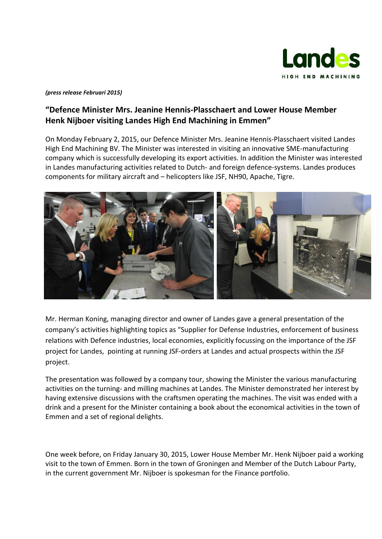

## *(press release Februari 2015)*

## **"Defence Minister Mrs. Jeanine Hennis-Plasschaert and Lower House Member Henk Nijboer visiting Landes High End Machining in Emmen"**

On Monday February 2, 2015, our Defence Minister Mrs. Jeanine Hennis-Plasschaert visited Landes High End Machining BV. The Minister was interested in visiting an innovative SME-manufacturing company which is successfully developing its export activities. In addition the Minister was interested in Landes manufacturing activities related to Dutch- and foreign defence-systems. Landes produces components for military aircraft and – helicopters like JSF, NH90, Apache, Tigre.



Mr. Herman Koning, managing director and owner of Landes gave a general presentation of the company's activities highlighting topics as "Supplier for Defense Industries, enforcement of business relations with Defence industries, local economies, explicitly focussing on the importance of the JSF project for Landes, pointing at running JSF-orders at Landes and actual prospects within the JSF project.

The presentation was followed by a company tour, showing the Minister the various manufacturing activities on the turning- and milling machines at Landes. The Minister demonstrated her interest by having extensive discussions with the craftsmen operating the machines. The visit was ended with a drink and a present for the Minister containing a book about the economical activities in the town of Emmen and a set of regional delights.

One week before, on Friday January 30, 2015, Lower House Member Mr. Henk Nijboer paid a working visit to the town of Emmen. Born in the town of Groningen and Member of the Dutch Labour Party, in the current government Mr. Nijboer is spokesman for the Finance portfolio.